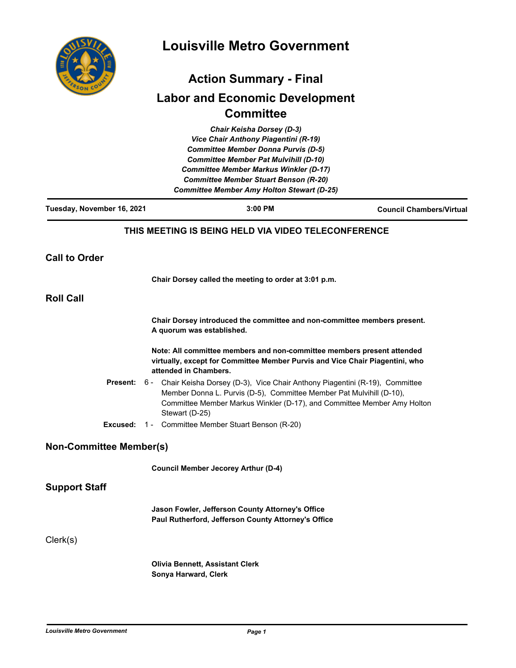

# **Louisville Metro Government**

## **Action Summary - Final Labor and Economic Development Committee**

|                                | Chair Keisha Dorsey (D-3)<br>Vice Chair Anthony Piagentini (R-19)<br><b>Committee Member Donna Purvis (D-5)</b><br><b>Committee Member Pat Mulvihill (D-10)</b><br><b>Committee Member Markus Winkler (D-17)</b> |         |                                                                         |
|--------------------------------|------------------------------------------------------------------------------------------------------------------------------------------------------------------------------------------------------------------|---------|-------------------------------------------------------------------------|
|                                | <b>Committee Member Stuart Benson (R-20)</b><br><b>Committee Member Amy Holton Stewart (D-25)</b>                                                                                                                |         |                                                                         |
| Tuesday, November 16, 2021     |                                                                                                                                                                                                                  | 3:00 PM | <b>Council Chambers/Virtual</b>                                         |
|                                | THIS MEETING IS BEING HELD VIA VIDEO TELECONFERENCE                                                                                                                                                              |         |                                                                         |
| <b>Call to Order</b>           |                                                                                                                                                                                                                  |         |                                                                         |
|                                | Chair Dorsey called the meeting to order at 3:01 p.m.                                                                                                                                                            |         |                                                                         |
| <b>Roll Call</b>               |                                                                                                                                                                                                                  |         |                                                                         |
|                                | Chair Dorsey introduced the committee and non-committee members present.<br>A quorum was established.                                                                                                            |         |                                                                         |
|                                | Note: All committee members and non-committee members present attended<br>virtually, except for Committee Member Purvis and Vice Chair Piagentini, who<br>attended in Chambers.                                  |         |                                                                         |
| <b>Present:</b>                | 6 -<br>Chair Keisha Dorsey (D-3), Vice Chair Anthony Piagentini (R-19), Committee<br>Member Donna L. Purvis (D-5), Committee Member Pat Mulvihill (D-10),<br>Stewart (D-25)                                      |         | Committee Member Markus Winkler (D-17), and Committee Member Amy Holton |
|                                | <b>Excused:</b> 1 - Committee Member Stuart Benson (R-20)                                                                                                                                                        |         |                                                                         |
| <b>Non-Committee Member(s)</b> |                                                                                                                                                                                                                  |         |                                                                         |
|                                | <b>Council Member Jecorey Arthur (D-4)</b>                                                                                                                                                                       |         |                                                                         |
| <b>Support Staff</b>           |                                                                                                                                                                                                                  |         |                                                                         |
|                                | Jason Fowler, Jefferson County Attorney's Office<br>Paul Rutherford, Jefferson County Attorney's Office                                                                                                          |         |                                                                         |
| Clerk(s)                       |                                                                                                                                                                                                                  |         |                                                                         |
|                                | <b>Olivia Bennett, Assistant Clerk</b>                                                                                                                                                                           |         |                                                                         |

**Sonya Harward, Clerk**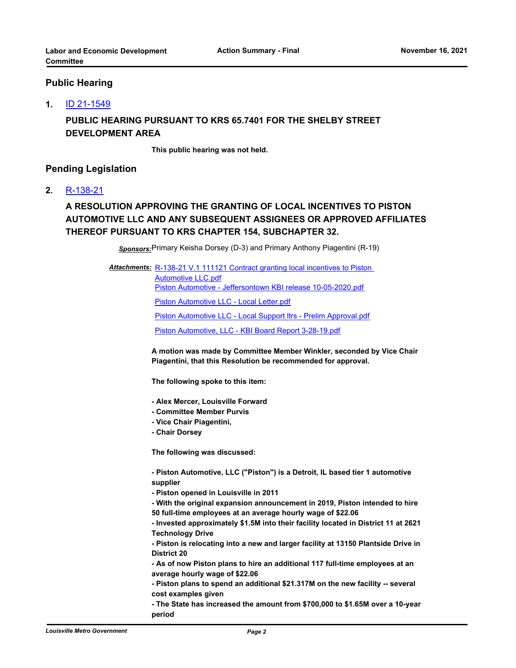#### **Public Hearing**

#### **1.** [ID 21-1549](http://louisville.legistar.com/gateway.aspx?m=l&id=/matter.aspx?key=59058)

### **PUBLIC HEARING PURSUANT TO KRS 65.7401 FOR THE SHELBY STREET DEVELOPMENT AREA**

**This public hearing was not held.**

#### **Pending Legislation**

#### **2.** [R-138-21](http://louisville.legistar.com/gateway.aspx?m=l&id=/matter.aspx?key=58896)

## **A RESOLUTION APPROVING THE GRANTING OF LOCAL INCENTIVES TO PISTON AUTOMOTIVE LLC AND ANY SUBSEQUENT ASSIGNEES OR APPROVED AFFILIATES THEREOF PURSUANT TO KRS CHAPTER 154, SUBCHAPTER 32.**

*Sponsors:*Primary Keisha Dorsey (D-3) and Primary Anthony Piagentini (R-19)

Attachments: R-138-21 V.1 111121 Contract granting local incentives to Piston Automotive LLC.pdf [Piston Automotive - Jeffersontown KBI release 10-05-2020.pdf](http://louisville.legistar.com/gateway.aspx?M=F&ID=6468c9e9-5632-4af8-bce5-657ae094c69e.pdf) [Piston Automotive LLC - Local Letter.pdf](http://louisville.legistar.com/gateway.aspx?M=F&ID=1f5df992-d528-48f3-b6c2-f0bf9f10f4ff.pdf) [Piston Automotive LLC - Local Support ltrs - Prelim Approval.pdf](http://louisville.legistar.com/gateway.aspx?M=F&ID=d598a79f-7985-475f-bddc-82acd06fa5bc.pdf) [Piston Automotive, LLC - KBI Board Report 3-28-19.pdf](http://louisville.legistar.com/gateway.aspx?M=F&ID=c81158fc-21da-4f98-b294-bc55b035dbd6.pdf)

> **A motion was made by Committee Member Winkler, seconded by Vice Chair Piagentini, that this Resolution be recommended for approval.**

**The following spoke to this item:** 

- **Alex Mercer, Louisville Forward**
- **Committee Member Purvis**
- **Vice Chair Piagentini,**
- **Chair Dorsey**

**The following was discussed:** 

**- Piston Automotive, LLC ("Piston") is a Detroit, IL based tier 1 automotive supplier** 

**- Piston opened in Louisville in 2011**

**- With the original expansion announcement in 2019, Piston intended to hire 50 full-time employees at an average hourly wage of \$22.06** 

**- Invested approximately \$1.5M into their facility located in District 11 at 2621 Technology Drive**

**- Piston is relocating into a new and larger facility at 13150 Plantside Drive in District 20**

**- As of now Piston plans to hire an additional 117 full-time employees at an average hourly wage of \$22.06**

**- Piston plans to spend an additional \$21.317M on the new facility -- several cost examples given**

**- The State has increased the amount from \$700,000 to \$1.65M over a 10-year period**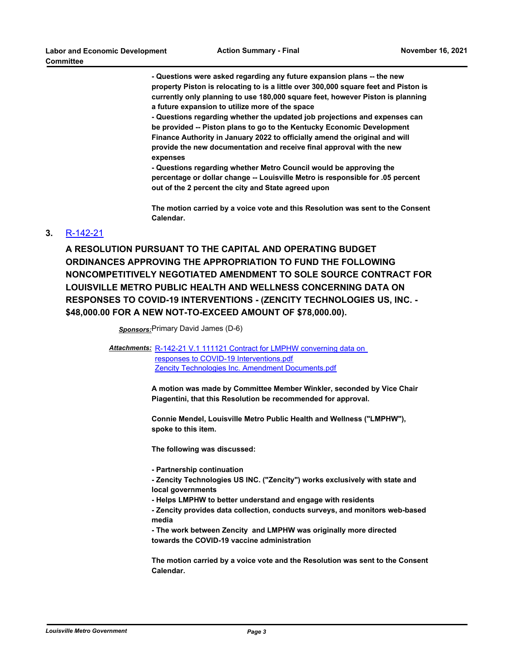**- Questions were asked regarding any future expansion plans -- the new property Piston is relocating to is a little over 300,000 square feet and Piston is currently only planning to use 180,000 square feet, however Piston is planning a future expansion to utilize more of the space** 

**- Questions regarding whether the updated job projections and expenses can be provided -- Piston plans to go to the Kentucky Economic Development Finance Authority in January 2022 to officially amend the original and will provide the new documentation and receive final approval with the new expenses** 

**- Questions regarding whether Metro Council would be approving the percentage or dollar change -- Louisville Metro is responsible for .05 percent out of the 2 percent the city and State agreed upon** 

**The motion carried by a voice vote and this Resolution was sent to the Consent Calendar.**

#### **3.** [R-142-21](http://louisville.legistar.com/gateway.aspx?m=l&id=/matter.aspx?key=58935)

**A RESOLUTION PURSUANT TO THE CAPITAL AND OPERATING BUDGET ORDINANCES APPROVING THE APPROPRIATION TO FUND THE FOLLOWING NONCOMPETITIVELY NEGOTIATED AMENDMENT TO SOLE SOURCE CONTRACT FOR LOUISVILLE METRO PUBLIC HEALTH AND WELLNESS CONCERNING DATA ON RESPONSES TO COVID-19 INTERVENTIONS - (ZENCITY TECHNOLOGIES US, INC. - \$48,000.00 FOR A NEW NOT-TO-EXCEED AMOUNT OF \$78,000.00).**

*Sponsors:*Primary David James (D-6)

Attachments: R-142-21 V.1 111121 Contract for LMPHW converning data on responses to COVID-19 Interventions.pdf [Zencity Technologies Inc. Amendment Documents.pdf](http://louisville.legistar.com/gateway.aspx?M=F&ID=e2399280-657a-4be8-9e17-f89688058a53.pdf)

> **A motion was made by Committee Member Winkler, seconded by Vice Chair Piagentini, that this Resolution be recommended for approval.**

**Connie Mendel, Louisville Metro Public Health and Wellness ("LMPHW"), spoke to this item.** 

**The following was discussed:** 

**- Partnership continuation** 

**- Zencity Technologies US INC. ("Zencity") works exclusively with state and local governments** 

**- Helps LMPHW to better understand and engage with residents** 

**- Zencity provides data collection, conducts surveys, and monitors web-based media**

**- The work between Zencity and LMPHW was originally more directed towards the COVID-19 vaccine administration** 

**The motion carried by a voice vote and the Resolution was sent to the Consent Calendar.**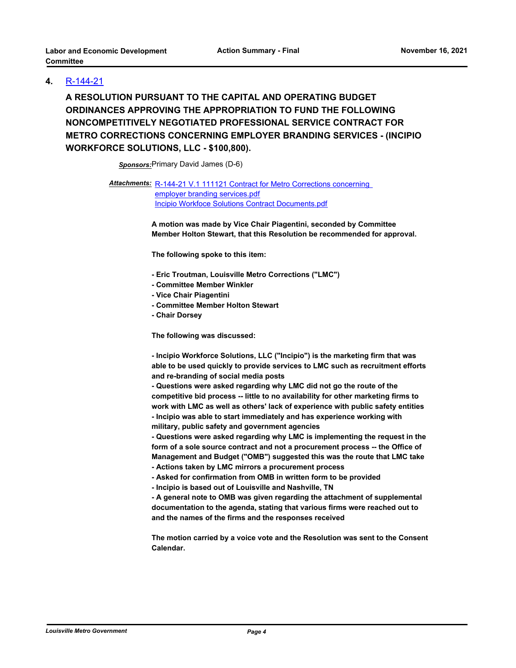#### **4.** [R-144-21](http://louisville.legistar.com/gateway.aspx?m=l&id=/matter.aspx?key=58949)

**A RESOLUTION PURSUANT TO THE CAPITAL AND OPERATING BUDGET ORDINANCES APPROVING THE APPROPRIATION TO FUND THE FOLLOWING NONCOMPETITIVELY NEGOTIATED PROFESSIONAL SERVICE CONTRACT FOR METRO CORRECTIONS CONCERNING EMPLOYER BRANDING SERVICES - (INCIPIO WORKFORCE SOLUTIONS, LLC - \$100,800).**

*Sponsors:*Primary David James (D-6)

Attachments: R-144-21 V.1 111121 Contract for Metro Corrections concerning

employer branding services.pdf [Incipio Workfoce Solutions Contract Documents.pdf](http://louisville.legistar.com/gateway.aspx?M=F&ID=ac4df739-8b92-41a2-92fc-97c0cb57e1ee.pdf)

**A motion was made by Vice Chair Piagentini, seconded by Committee Member Holton Stewart, that this Resolution be recommended for approval.** 

**The following spoke to this item:**

- **Eric Troutman, Louisville Metro Corrections ("LMC")**
- **Committee Member Winkler**
- **Vice Chair Piagentini**
- **Committee Member Holton Stewart**
- **Chair Dorsey**

**The following was discussed:** 

**- Incipio Workforce Solutions, LLC ("Incipio") is the marketing firm that was able to be used quickly to provide services to LMC such as recruitment efforts and re-branding of social media posts**

**- Questions were asked regarding why LMC did not go the route of the competitive bid process -- little to no availability for other marketing firms to work with LMC as well as others' lack of experience with public safety entities - Incipio was able to start immediately and has experience working with military, public safety and government agencies** 

**- Questions were asked regarding why LMC is implementing the request in the form of a sole source contract and not a procurement process -- the Office of Management and Budget ("OMB") suggested this was the route that LMC take - Actions taken by LMC mirrors a procurement process**

**- Asked for confirmation from OMB in written form to be provided** 

**- Incipio is based out of Louisville and Nashville, TN**

**- A general note to OMB was given regarding the attachment of supplemental documentation to the agenda, stating that various firms were reached out to and the names of the firms and the responses received** 

**The motion carried by a voice vote and the Resolution was sent to the Consent Calendar.**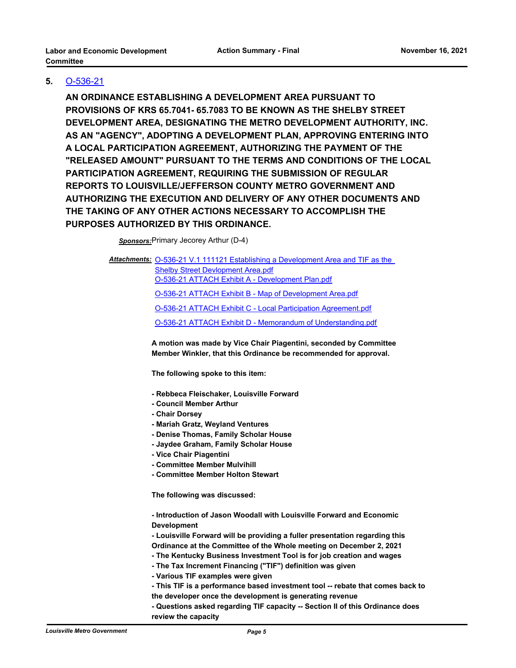#### **5.** [O-536-21](http://louisville.legistar.com/gateway.aspx?m=l&id=/matter.aspx?key=58865)

**AN ORDINANCE ESTABLISHING A DEVELOPMENT AREA PURSUANT TO PROVISIONS OF KRS 65.7041- 65.7083 TO BE KNOWN AS THE SHELBY STREET DEVELOPMENT AREA, DESIGNATING THE METRO DEVELOPMENT AUTHORITY, INC. AS AN "AGENCY", ADOPTING A DEVELOPMENT PLAN, APPROVING ENTERING INTO A LOCAL PARTICIPATION AGREEMENT, AUTHORIZING THE PAYMENT OF THE "RELEASED AMOUNT" PURSUANT TO THE TERMS AND CONDITIONS OF THE LOCAL PARTICIPATION AGREEMENT, REQUIRING THE SUBMISSION OF REGULAR REPORTS TO LOUISVILLE/JEFFERSON COUNTY METRO GOVERNMENT AND AUTHORIZING THE EXECUTION AND DELIVERY OF ANY OTHER DOCUMENTS AND THE TAKING OF ANY OTHER ACTIONS NECESSARY TO ACCOMPLISH THE PURPOSES AUTHORIZED BY THIS ORDINANCE.**

*Sponsors:*Primary Jecorey Arthur (D-4)

Attachments: O-536-21 V.1 111121 Establishing a Development Area and TIF as the Shelby Street Devlopment Area.pdf [O-536-21 ATTACH Exhibit A - Development Plan.pdf](http://louisville.legistar.com/gateway.aspx?M=F&ID=3039e6b6-0b0a-4448-8388-9c529c511ea5.pdf) [O-536-21 ATTACH Exhibit B - Map of Development Area.pdf](http://louisville.legistar.com/gateway.aspx?M=F&ID=9d89687d-01c4-4e3b-934a-1d7460f9a85d.pdf) [O-536-21 ATTACH Exhibit C - Local Participation Agreement.pdf](http://louisville.legistar.com/gateway.aspx?M=F&ID=d32d3536-5ae1-4909-aa62-3dafc09504b7.pdf) [O-536-21 ATTACH Exhibit D - Memorandum of Understanding.pdf](http://louisville.legistar.com/gateway.aspx?M=F&ID=f96029cd-e30c-4104-a16b-b5b0c13bf96f.pdf)

> **A motion was made by Vice Chair Piagentini, seconded by Committee Member Winkler, that this Ordinance be recommended for approval.**

**The following spoke to this item:** 

- **Rebbeca Fleischaker, Louisville Forward**
- **Council Member Arthur**
- **Chair Dorsey**
- **Mariah Gratz, Weyland Ventures**
- **Denise Thomas, Family Scholar House**
- **Jaydee Graham, Family Scholar House**
- **Vice Chair Piagentini**
- **Committee Member Mulvihill**
- **Committee Member Holton Stewart**

**The following was discussed:** 

**- Introduction of Jason Woodall with Louisville Forward and Economic Development** 

- **Louisville Forward will be providing a fuller presentation regarding this Ordinance at the Committee of the Whole meeting on December 2, 2021**
- **The Kentucky Business Investment Tool is for job creation and wages**
- **The Tax Increment Financing ("TIF") definition was given**
- **Various TIF examples were given**
- **This TIF is a performance based investment tool -- rebate that comes back to the developer once the development is generating revenue**
- **Questions asked regarding TIF capacity -- Section II of this Ordinance does review the capacity**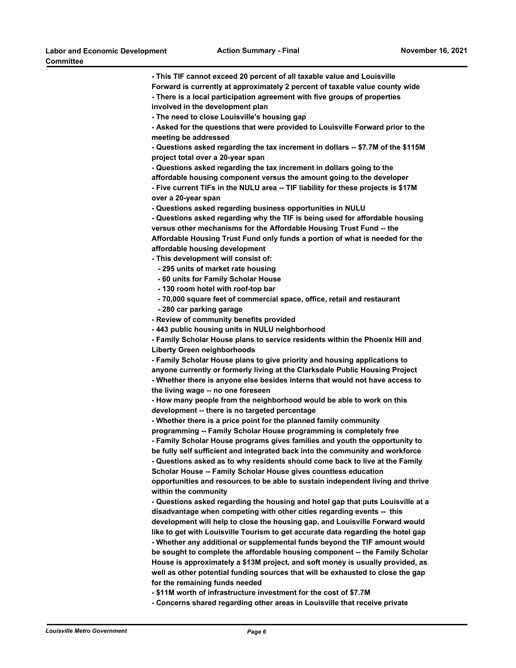**- This TIF cannot exceed 20 percent of all taxable value and Louisville Forward is currently at approximately 2 percent of taxable value county wide - There is a local participation agreement with five groups of properties involved in the development plan - The need to close Louisville's housing gap - Asked for the questions that were provided to Louisville Forward prior to the meeting be addressed - Questions asked regarding the tax increment in dollars -- \$7.7M of the \$115M project total over a 20-year span - Questions asked regarding the tax increment in dollars going to the affordable housing component versus the amount going to the developer - Five current TIFs in the NULU area -- TIF liability for these projects is \$17M over a 20-year span - Questions asked regarding business opportunities in NULU - Questions asked regarding why the TIF is being used for affordable housing versus other mechanisms for the Affordable Housing Trust Fund -- the Affordable Housing Trust Fund only funds a portion of what is needed for the affordable housing development - This development will consist of: - 295 units of market rate housing - 60 units for Family Scholar House - 130 room hotel with roof-top bar - 70,000 square feet of commercial space, office, retail and restaurant - 280 car parking garage - Review of community benefits provided - 443 public housing units in NULU neighborhood - Family Scholar House plans to service residents within the Phoenix Hill and Liberty Green neighborhoods - Family Scholar House plans to give priority and housing applications to anyone currently or formerly living at the Clarksdale Public Housing Project - Whether there is anyone else besides interns that would not have access to the living wage -- no one foreseen - How many people from the neighborhood would be able to work on this development -- there is no targeted percentage - Whether there is a price point for the planned family community programming -- Family Scholar House programming is completely free - Family Scholar House programs gives families and youth the opportunity to be fully self sufficient and integrated back into the community and workforce - Questions asked as to why residents should come back to live at the Family Scholar House -- Family Scholar House gives countless education opportunities and resources to be able to sustain independent living and thrive within the community - Questions asked regarding the housing and hotel gap that puts Louisville at a disadvantage when competing with other cities regarding events -- this development will help to close the housing gap, and Louisville Forward would like to get with Louisville Tourism to get accurate data regarding the hotel gap - Whether any additional or supplemental funds beyond the TIF amount would be sought to complete the affordable housing component -- the Family Scholar House is approximately a \$13M project, and soft money is usually provided, as well as other potential funding sources that will be exhausted to close the gap for the remaining funds needed - \$11M worth of infrastructure investment for the cost of \$7.7M** 

**- Concerns shared regarding other areas in Louisville that receive private**